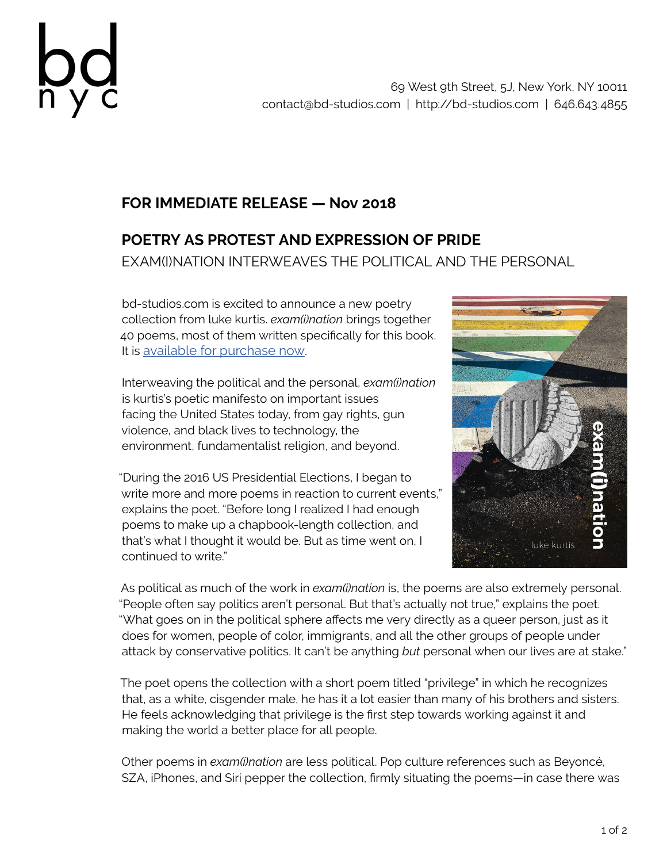

## **FOR IMMEDIATE RELEASE — Nov 2018**

## **POETRY AS PROTEST AND EXPRESSION OF PRIDE** EXAM(I)NATION INTERWEAVES THE POLITICAL AND THE PERSONAL

bd-studios.com is excited to announce a new poetry collection from luke kurtis. *exam(i)nation* brings together 40 poems, most of them written specifically for this book. It is available for purchase now.

Interweaving the political and the personal, *exam(i)nation* is kurtis's poetic manifesto on important issues facing the United States today, from gay rights, gun violence, and black lives to technology, the environment, fundamentalist religion, and beyond.

"During the 2016 US Presidential Elections, I began to write more and more poems in reaction to current events," explains the poet. "Before long I realized I had enough poems to make up a chapbook-length collection, and that's what I thought it would be. But as time went on, I continued to write."



As political as much of the work in *exam(i)nation* is, the poems are also extremely personal. "People often say politics aren't personal. But that's actually not true," explains the poet. "What goes on in the political sphere affects me very directly as a queer person, just as it does for women, people of color, immigrants, and all the other groups of people under attack by conservative politics. It can't be anything *but* personal when our lives are at stake."

The poet opens the collection with a short poem titled "privilege" in which he recognizes that, as a white, cisgender male, he has it a lot easier than many of his brothers and sisters. He feels acknowledging that privilege is the first step towards working against it and making the world a better place for all people.

Other poems in *exam(i)nation* are less political. Pop culture references such as Beyoncé, SZA, iPhones, and Siri pepper the collection, firmly situating the poems—in case there was